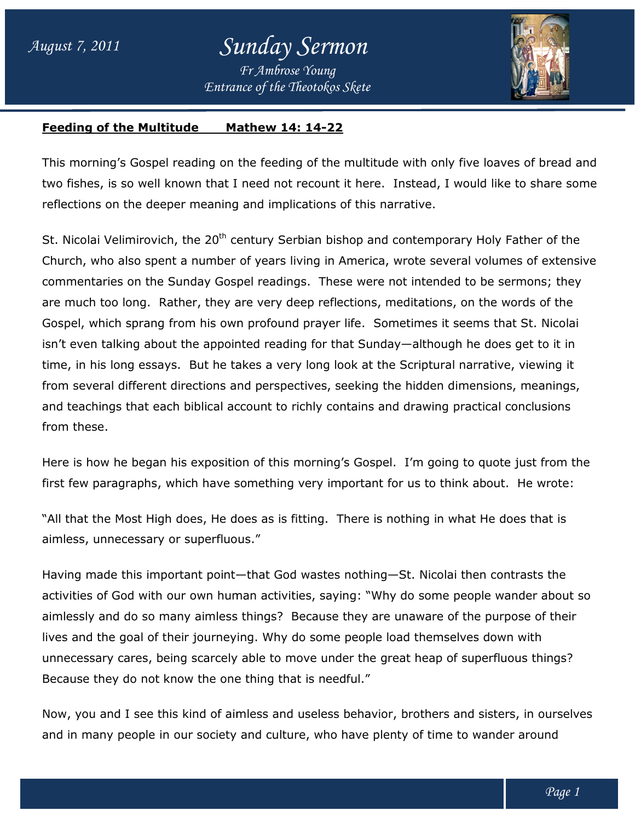

## **Feeding of the Multitude Mathew 14: 14-22**

This morning's Gospel reading on the feeding of the multitude with only five loaves of bread and two fishes, is so well known that I need not recount it here. Instead, I would like to share some reflections on the deeper meaning and implications of this narrative. This morning's Gospel reading on the feeding of the multitude with only five loaves of brea<br>two fishes, is so well known that I need not recount it here. Instead, I would like to share<br>reflections on the deeper meaning and

St. Nicolai Velimirovich, the  $20<sup>th</sup>$  century Serbian bishop and contemporary Holy Father of the Church, who also spent a number of years living in America, wrote several volumes of extensive commentaries on the Sunday Gospel readings. These were not intended to be sermons; they are much too long. Rather, they are very deep reflections, meditations, on the words of the Gospel, which sprang from his own profound prayer life. Sometimes it seems that St. Nicolai isn't even talking about the appointed reading for that Sunday—although he does get to it in time, in his long essays. But he takes a very long look at the Scriptural narrative, viewing it time, in his long essays. But he takes a very long look at the Scriptural narrative, viewing it<br>from several different directions and perspectives, seeking the hidden dimensions, meanings, and teachings that each biblical account to richly contains and drawing practical conclusions from these. St. Nicolai Velimirovich, the 20<sup>tn</sup> century Serbian bishop and contemporary Holy Father of the<br>Church, who also spent a number of years living in America, wrote several volumes of extensiv<br>commentaries on the Sunday Gospe er, they are very deep reflections, meditations, on the words of the<br>m his own profound prayer life. Sometimes it seems that St. Nicolai<br>he appointed reading for that Sunday—although he does get to it in se were not intended to be sermons; they<br>ections, meditations, on the words of the<br>life. Sometimes it seems that St. Nicolai<br>aat Sunday—although he does get to it in<br>pok at the Scriptural narrative, viewing it<br>eeking the h

Here is how he began his exposition of this morning's Gospel. I'm going to quote just from the Here is how he began his exposition of this morning's Gospel. I'm going to quote just from t<br>first few paragraphs, which have something very important for us to think about. He wrote:

"All that the Most High does, He does as is fitting. There is nothing in what He does that is aimless, unnecessary or superfluous." "All that the Most High does, He does as is fitting. There is nothing in what He does that<br>aimless, unnecessary or superfluous."<br>Having made this important point—that God wastes nothing—St. Nicolai then contrasts th

activities of God with our own human activities, saying: "Why do some people wander about so aimlessly and do so many aimless things? Because they are unaware of the purpose of their lives and the goal of their journeying. Why do some people load themselves down with unnecessary cares, being scarcely able to move under the great heap of superfluous things? Because they do not know the one thing that is needful." lives and the goal of their journeying. Why do some people load themselves down with<br>unnecessary cares, being scarcely able to move under the great heap of superfluous things?<br>Because they do not know the one thing that is of God with our own human activities, saying: "Why do some people wander al<br>and do so many aimless things? Because they are unaware of the purpose of<br>the goal of their journeying. Why do some people load themselves down wi

Because they do not know the one thing that is needful."<br>Now, you and I see this kind of aimless and useless behavior, brothers and sisters, in ours<br>and in many people in our society and culture, who have plenty of time to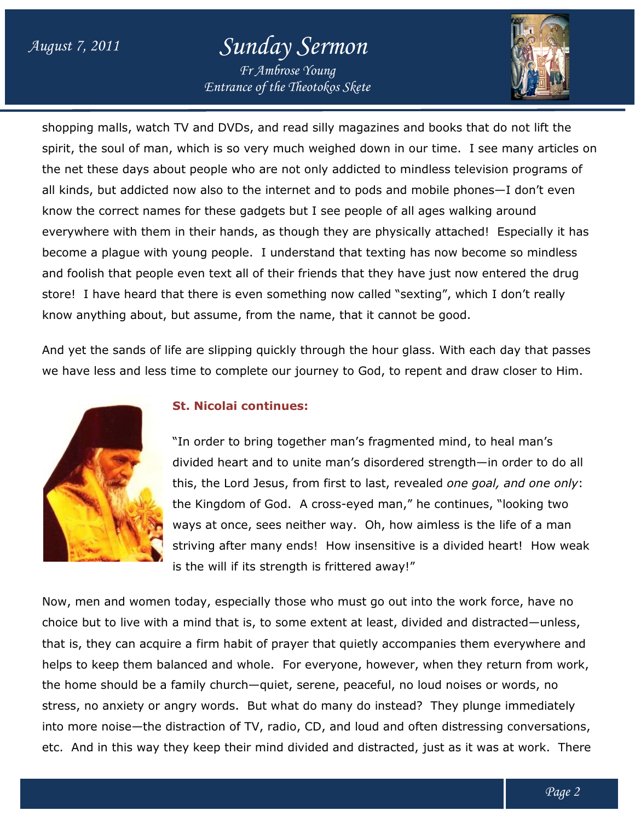## *August 7, 2011 Sunday Sermon*

*Entrance of the Theotokos Skete Fr Ambrose Young*



shopping malls, watch TV and DVDs, and read silly magazines and books that do not lift the shopping malls, watch TV and DVDs, and read silly magazines and books that do not lift the<br>spirit, the soul of man, which is so very much weighed down in our time. I see many articles on the net these days about people who are not only addicted to mindless television programs of all kinds, but addicted now also to the internet and to pods and mobile phones know the correct names for these gadgets but I see people of all ages walking around everywhere with them in their hands, as though they are physically attached! Especially it has become a plague with young people. I understand that texting has now become so mindless and foolish that people even text all of their friends that they have just now entered the drug store! I have heard that there is even something now called "sexting", which I don't really know anything about, but assume, from the name, that it cannot be good. ho are not only addicted to mindless television programs<br>the internet and to pods and mobile phones—I don't ever<br>gadgets but I see people of all ages walking around in their hands, as though they are physically attached! Especially it ha<br>vith young people. I understand that texting has now become so mindless<br>ople even text all of their friends that they have just now entered the drug<br> in our time. I see many articles<br>nindless television programs o<br>nd mobile phones—I don't even

And yet the sands of life are slipping quickly through the hour glass. With each day that passes we have less and less time to complete our journey to God, to repent and draw closer to Him.



## **St. Nicolai continues:**

"In order to bring together man's fragmented mind, to heal man's "In order to bring together man's fragmented mind, to heal man's<br>divided heart and to unite man's disordered strength—in order to do all this, the Lord Jesus, from first to last, revealed one goal, and one only: the Kingdom of God. A cross the A cross-eyed man," he continues, "looking two ways at once, sees neither way. Oh, how aimless is the life of a man striving after many ends! How insensitive is a divided heart! How weak is the will if its strength is frittered away!" s-eyed man," he continues, "looking two<br>ay. Oh, how aimless is the life of a man<br>ow insensitive is a divided heart! How weal<br>ttered away!"<br>must go out into the work force, have no<br>nt at least, divided and distracted—unless

Now, men and women today, especially those who must go out into the work force, have no choice but to live with a mind that is, to some extent at least, divided and distracted that is, they can acquire a firm habit of prayer that quietly accompanies them everywhere and helps to keep them balanced and whole. For everyone, however, when they return from work, the home should be a family church be family church—quiet, serene, peaceful, no loud noises or words, no stress, no anxiety or angry words. But what do many do instead? They plunge immediately stress, no anxiety or angry words. But what do many do instead? They plunge immediately<br>into more noise—the distraction of TV, radio, CD, and loud and often distressing conversations, etc. And in this way they keep their mind divided and distracted, just as it was at work. There is the will if its strength is frittered away!"<br>Now, men and women today, especially those who must go out into the work force, have no<br>choice but to live with a mind that is, to some extent at least, divided and distracte le. For everyone, however, when they<br>quiet, serene, peaceful, no loud noises<br>it what do many do instead? They plun<br>, radio, CD, and loud and often distress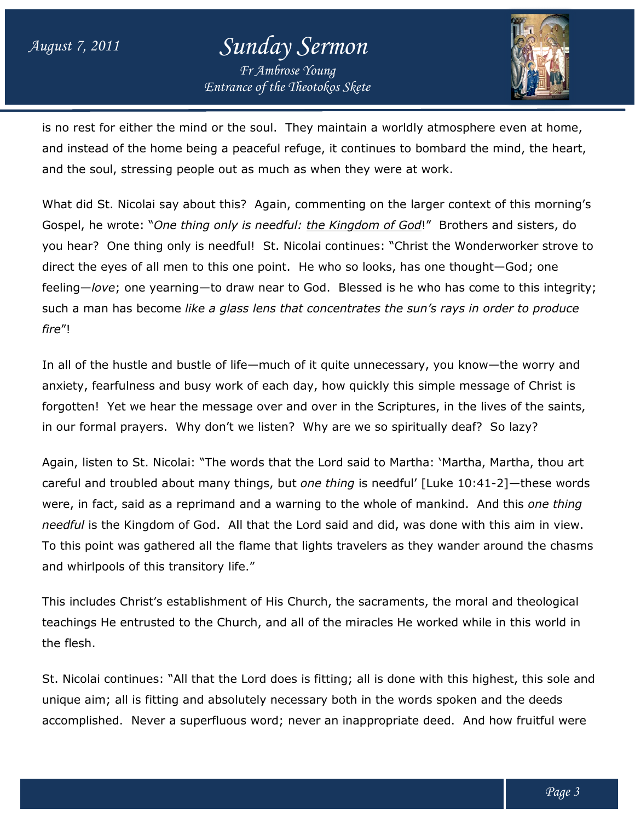

is no rest for either the mind or the soul. They maintain a worldly atmosphere even at home, and instead of the home being a peaceful refuge, it continues to bombard the mind, the heart, and the soul, stressing people out as much as when they were at work.

and the soul, stressing people out as much as when they were at work.<br>What did St. Nicolai say about this? Again, commenting on the larger context of this morning's Gospel, he wrote: "One thing only is needful: the Kingdom of God!" Brothers and sisters, do you hear? One thing only is needful! St. Nicolai continues: "Christ the Wonderworker strove to direct the eyes of all men to this one point. He who so looks, has one thought you hear? One thing only is needful! St. Nicolai continues: "Christ the Wonderworker strove to<br>direct the eyes of all men to this one point. He who so looks, has one thought—God; one<br>feeling—*love*; one yearning—to draw such a man has become like a glass lens that concentrates the sun's rays in order to produce *fire*"! rothers and sisters, do<br>! Wonderworker strove<br>thought—God; one

In all of the hustle and bustle of life—much of it quite unnecessary, you know—the worry and anxiety, fearfulness and busy work of each day, how quickly this simple message of Christ is forgotten! Yet we hear the message over and over in the Scriptures, in the lives of the saints, in our formal prayers. Why don't we listen? Why are we so spiritually deaf? So lazy? , fearfulness and busy work of each day, how quickly this simple message of C<br>en! Yet we hear the message over and over in the Scriptures, in the lives of th<br>iormal prayers. Why don't we listen? Why are we so spiritually d

Again, listen to St. Nicolai: "The words that the Lord said to Martha: 'Martha, Martha, thou art careful and troubled about many things, but *one thing* is needful' [Luke 10:41-2]—these words were, in fact, said as a reprimand and a warning to the whole of mankind. And this *one thing needful* is the Kingdom of God. All that the Lord said and did, was done with this aim in view. To this point was gathered all the flame that lights travelers as they wander around the chasms and whirlpools of this transitory life." e, in fact, said as a reprimand and a warning to the whole of mankind. And this *one thing<br>dful* is the Kingdom of God. All that the Lord said and did, was done with this aim in view.<br>:his point was gathered all the flame

This includes Christ's establishment of His Church, the sacraments, the moral and theological To this point was gathered all the flame that lights travelers as they wander around the chasm<br>and whirlpools of this transitory life."<br>This includes Christ's establishment of His Church, the sacraments, the moral and theo the flesh. irist's establishment of His Church, the sacraments, the moral and theological<br>trusted to the Church, and all of the miracles He worked while in this world in<br>nues: "All that the Lord does is fitting; all is done with this

St. Nicolai continues: "All that the Lord does is fitting; all is done with this highest, this sole and unique aim; all is fitting and absolutely necessary both in the words spoken and the deeds accomplished. Never a superfluous word; never an inappropriate deed. And how fruitful were